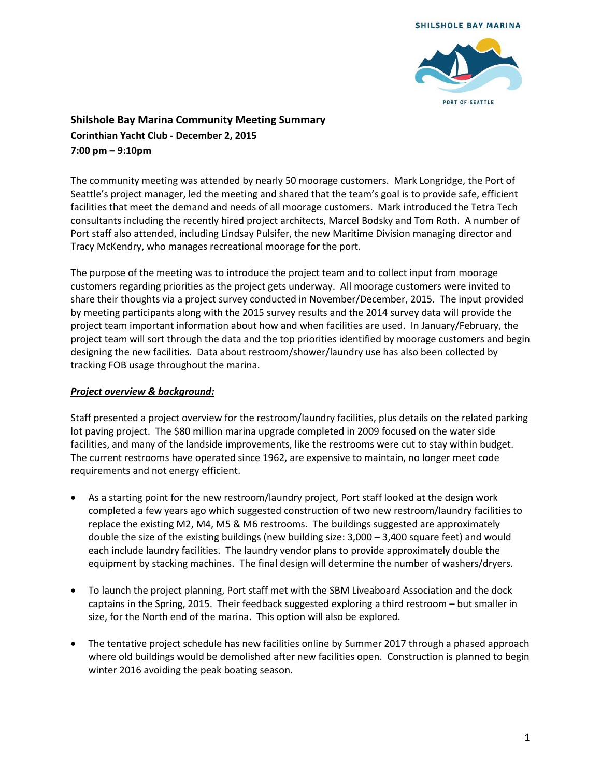



## **Shilshole Bay Marina Community Meeting Summary Corinthian Yacht Club - December 2, 2015 7:00 pm – 9:10pm**

The community meeting was attended by nearly 50 moorage customers. Mark Longridge, the Port of Seattle's project manager, led the meeting and shared that the team's goal is to provide safe, efficient facilities that meet the demand and needs of all moorage customers. Mark introduced the Tetra Tech consultants including the recently hired project architects, Marcel Bodsky and Tom Roth. A number of Port staff also attended, including Lindsay Pulsifer, the new Maritime Division managing director and Tracy McKendry, who manages recreational moorage for the port.

The purpose of the meeting was to introduce the project team and to collect input from moorage customers regarding priorities as the project gets underway. All moorage customers were invited to share their thoughts via a project survey conducted in November/December, 2015. The input provided by meeting participants along with the 2015 survey results and the 2014 survey data will provide the project team important information about how and when facilities are used. In January/February, the project team will sort through the data and the top priorities identified by moorage customers and begin designing the new facilities. Data about restroom/shower/laundry use has also been collected by tracking FOB usage throughout the marina.

## *Project overview & background:*

Staff presented a project overview for the restroom/laundry facilities, plus details on the related parking lot paving project. The \$80 million marina upgrade completed in 2009 focused on the water side facilities, and many of the landside improvements, like the restrooms were cut to stay within budget. The current restrooms have operated since 1962, are expensive to maintain, no longer meet code requirements and not energy efficient.

- As a starting point for the new restroom/laundry project, Port staff looked at the design work completed a few years ago which suggested construction of two new restroom/laundry facilities to replace the existing M2, M4, M5 & M6 restrooms. The buildings suggested are approximately double the size of the existing buildings (new building size: 3,000 – 3,400 square feet) and would each include laundry facilities. The laundry vendor plans to provide approximately double the equipment by stacking machines. The final design will determine the number of washers/dryers.
- To launch the project planning, Port staff met with the SBM Liveaboard Association and the dock captains in the Spring, 2015. Their feedback suggested exploring a third restroom – but smaller in size, for the North end of the marina. This option will also be explored.
- The tentative project schedule has new facilities online by Summer 2017 through a phased approach where old buildings would be demolished after new facilities open. Construction is planned to begin winter 2016 avoiding the peak boating season.